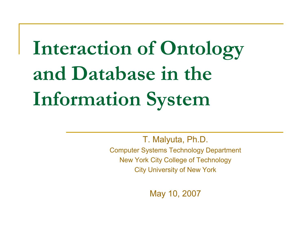# **Interaction of Ontology and Database in the Information System**

T. Malyuta, Ph.D. Computer Systems Technology Department New York City College of Technology City University of New York

May 10, 2007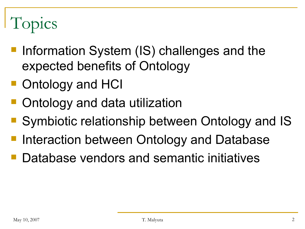## Topics

- Information System (IS) challenges and the expected benefits of Ontology
- Ontology and HCI
- Ontology and data utilization
- Symbiotic relationship between Ontology and IS
- Interaction between Ontology and Database
- Database vendors and semantic initiatives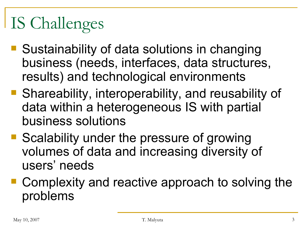## IS Challenges

- Sustainability of data solutions in changing business (needs, interfaces, data structures, results) and technological environments
- Shareability, interoperability, and reusability of data within a heterogeneous IS with partial business solutions
- Scalability under the pressure of growing volumes of data and increasing diversity of users' needs
- Complexity and reactive approach to solving the problems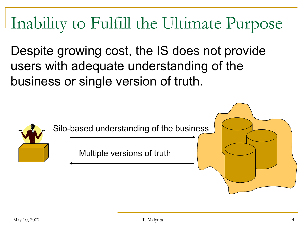## Inability to Fulfill the Ultimate Purpose

Despite growing cost, the IS does not provide users with adequate understanding of the business or single version of truth.



Silo-based understanding of the business

Multiple versions of truth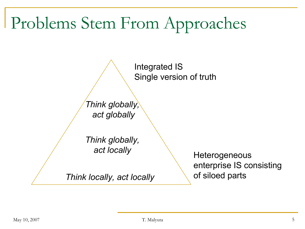#### Problems Stem From Approaches

Integrated IS Single version of truth

*Think globally, act globally*

*Think globally, act locally*

*Think locally, act locally*

**Heterogeneous** enterprise IS consisting of siloed parts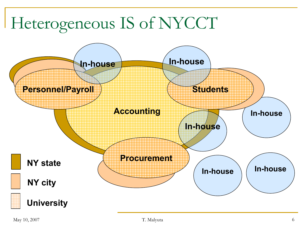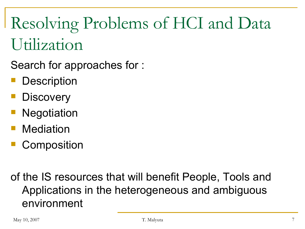Resolving Problems of HCI and Data Utilization

Search for approaches for :

- **Description**
- **Discovery**
- **Negotiation**
- **Mediation**
- **Composition**

#### of the IS resources that will benefit People, Tools and Applications in the heterogeneous and ambiguous environment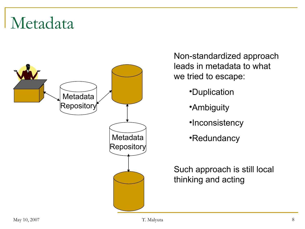#### Metadata



Non-standardized approach leads in metadata to what we tried to escape:

•Duplication

•Ambiguity

•Inconsistency

•Redundancy

Such approach is still local thinking and acting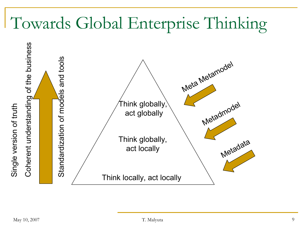## Towards Global Enterprise Thinking

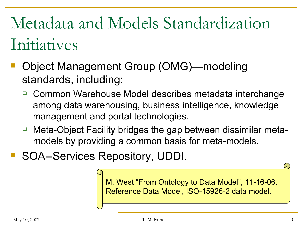## Metadata and Models Standardization Initiatives

- Object Management Group (OMG)—modeling standards, including:
	- □ Common Warehouse Model describes metadata interchange among data warehousing, business intelligence, knowledge management and portal technologies.
	- Meta-Object Facility bridges the gap between dissimilar metamodels by providing a common basis for meta-models.
- SOA--Services Repository, UDDI.

M. West "From Ontology to Data Model", 11-16-06. Reference Data Model, ISO-15926-2 data model.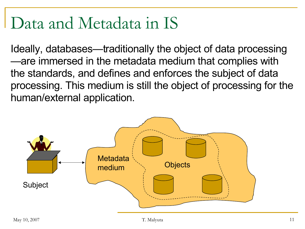#### Data and Metadata in IS

Ideally, databases—traditionally the object of data processing —are immersed in the metadata medium that complies with the standards, and defines and enforces the subject of data processing. This medium is still the object of processing for the human/external application.

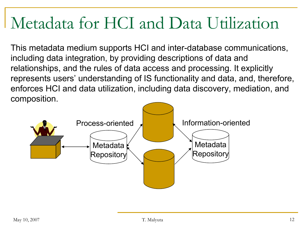#### Metadata for HCI and Data Utilization

This metadata medium supports HCI and inter-database communications, including data integration, by providing descriptions of data and relationships, and the rules of data access and processing. It explicitly represents users' understanding of IS functionality and data, and, therefore, enforces HCI and data utilization, including data discovery, mediation, and composition.

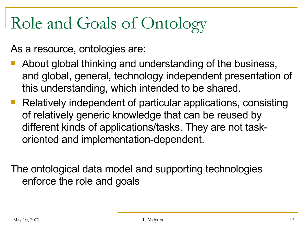## Role and Goals of Ontology

As a resource, ontologies are:

- About global thinking and understanding of the business, and global, general, technology independent presentation of this understanding, which intended to be shared.
- Relatively independent of particular applications, consisting of relatively generic knowledge that can be reused by different kinds of applications/tasks. They are not taskoriented and implementation-dependent.

The ontological data model and supporting technologies enforce the role and goals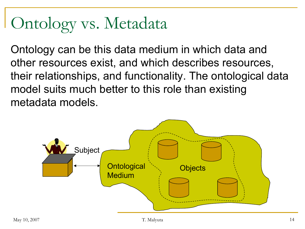#### Ontology vs. Metadata

Ontology can be this data medium in which data and other resources exist, and which describes resources, their relationships, and functionality. The ontological data model suits much better to this role than existing metadata models.

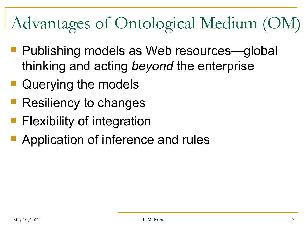Advantages of Ontological Medium (OM)

- **Publishing models as Web resources—global** thinking and acting *beyond* the enterprise
- **Querying the models**
- Resiliency to changes
- **Flexibility of integration**
- Application of inference and rules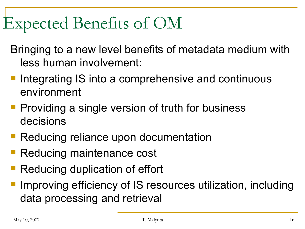#### Expected Benefits of OM

Bringing to a new level benefits of metadata medium with less human involvement:

- **If integrating IS into a comprehensive and continuous** environment
- **Providing a single version of truth for business** decisions
- **Reducing reliance upon documentation**
- **Reducing maintenance cost**
- Reducing duplication of effort
- Improving efficiency of IS resources utilization, including data processing and retrieval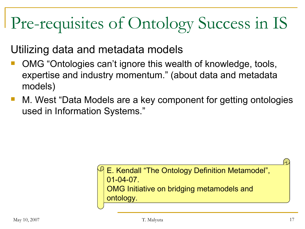## Pre-requisites of Ontology Success in IS

Utilizing data and metadata models

- OMG "Ontologies can't ignore this wealth of knowledge, tools, expertise and industry momentum." (about data and metadata models)
- M. West "Data Models are a key component for getting ontologies used in Information Systems."

E. Kendall "The Ontology Definition Metamodel", 01-04-07. OMG Initiative on bridging metamodels and ontology.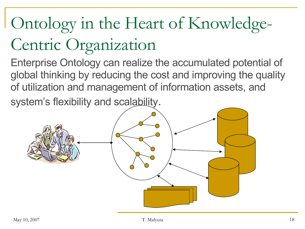## Ontology in the Heart of Knowledge-Centric Organization

Enterprise Ontology can realize the accumulated potential of global thinking by reducing the cost and improving the quality of utilization and management of information assets, and

system's flexibility and scalability.

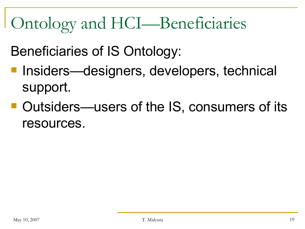Ontology and HCI—Beneficiaries

Beneficiaries of IS Ontology:

- **Insiders—designers, developers, technical** support.
- Outsiders—users of the IS, consumers of its resources.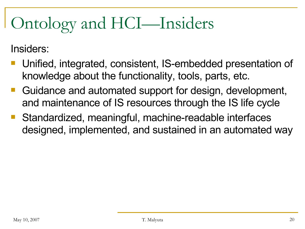## Ontology and HCI—Insiders

Insiders:

- Unified, integrated, consistent, IS-embedded presentation of knowledge about the functionality, tools, parts, etc.
- Guidance and automated support for design, development, and maintenance of IS resources through the IS life cycle
- Standardized, meaningful, machine-readable interfaces designed, implemented, and sustained in an automated way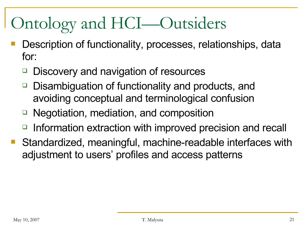## Ontology and HCI—Outsiders

- Description of functionality, processes, relationships, data for:
	- Discovery and navigation of resources
	- □ Disambiguation of functionality and products, and avoiding conceptual and terminological confusion
	- □ Negotiation, mediation, and composition
	- Information extraction with improved precision and recall
- Standardized, meaningful, machine-readable interfaces with adjustment to users' profiles and access patterns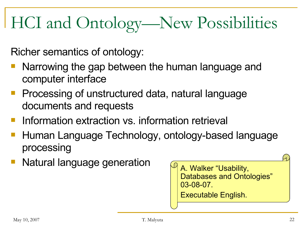## HCI and Ontology—New Possibilities

Richer semantics of ontology:

- Narrowing the gap between the human language and computer interface
- Processing of unstructured data, natural language documents and requests
- Information extraction vs. information retrieval
- Human Language Technology, ontology-based language processing
- Natural language generation

A. Walker "Usability, Databases and Ontologies" 03-08-07.

Executable English.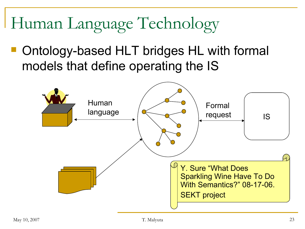Human Language Technology

 Ontology-based HLT bridges HL with formal models that define operating the IS

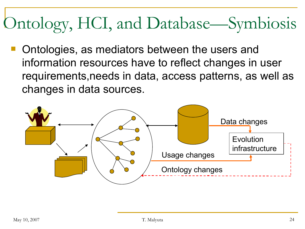## Ontology, HCI, and Database—Symbiosis

 Ontologies, as mediators between the users and information resources have to reflect changes in user requirements,needs in data, access patterns, as well as changes in data sources.

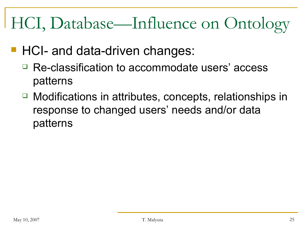### HCI, Database—Influence on Ontology

- **HCI- and data-driven changes:** 
	- Re-classification to accommodate users' access patterns
	- □ Modifications in attributes, concepts, relationships in response to changed users' needs and/or data patterns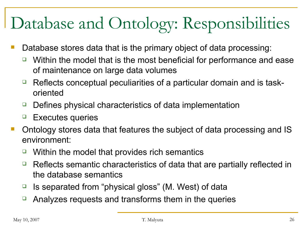## Database and Ontology: Responsibilities

- Database stores data that is the primary object of data processing:
	- $\Box$  Within the model that is the most beneficial for performance and ease of maintenance on large data volumes
	- $\Box$  Reflects conceptual peculiarities of a particular domain and is taskoriented
	- $\Box$  Defines physical characteristics of data implementation
	- $\Box$  Executes queries
- Ontology stores data that features the subject of data processing and IS environment:
	- $\Box$  Within the model that provides rich semantics
	- $\Box$  Reflects semantic characteristics of data that are partially reflected in the database semantics
	- $\Box$  Is separated from "physical gloss" (M. West) of data
	- $\Box$  Analyzes requests and transforms them in the queries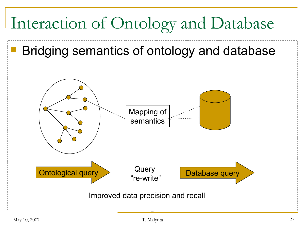## Interaction of Ontology and Database

Bridging semantics of ontology and database

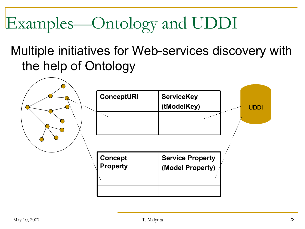## Examples—Ontology and UDDI

#### Multiple initiatives for Web-services discovery with the help of Ontology

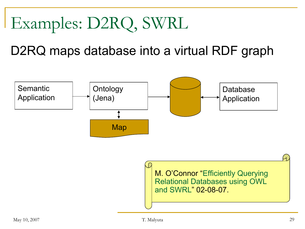## Examples: D2RQ, SWRL

#### D2RQ maps database into a virtual RDF graph



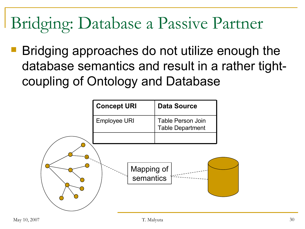## Bridging: Database a Passive Partner

 Bridging approaches do not utilize enough the database semantics and result in a rather tightcoupling of Ontology and Database

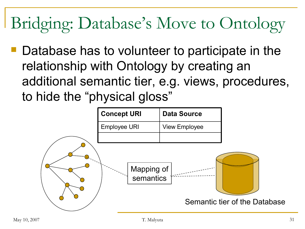## Bridging: Database's Move to Ontology

 Database has to volunteer to participate in the relationship with Ontology by creating an additional semantic tier, e.g. views, procedures, to hide the "physical gloss"

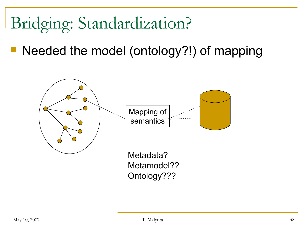## Bridging: Standardization?

Needed the model (ontology?!) of mapping

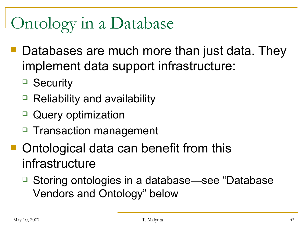#### Ontology in a Database

- Databases are much more than just data. They implement data support infrastructure:
	- □ Security
	- $\Box$  Reliability and availability
	- □ Query optimization
	- □ Transaction management
- Ontological data can benefit from this infrastructure
	- Storing ontologies in a database—see "Database Vendors and Ontology" below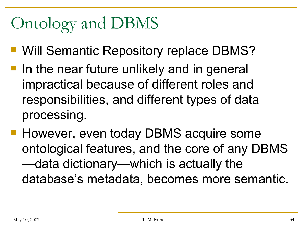## Ontology and DBMS

- Will Semantic Repository replace DBMS?
- **If** In the near future unlikely and in general impractical because of different roles and responsibilities, and different types of data processing.
- **However, even today DBMS acquire some** ontological features, and the core of any DBMS —data dictionary—which is actually the database's metadata, becomes more semantic.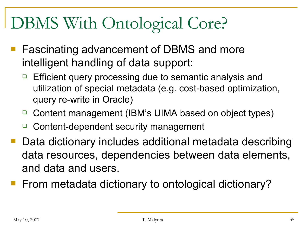## DBMS With Ontological Core?

- Fascinating advancement of DBMS and more intelligent handling of data support:
	- □ Efficient query processing due to semantic analysis and utilization of special metadata (e.g. cost-based optimization, query re-write in Oracle)
	- □ Content management (IBM's UIMA based on object types)
	- Content-dependent security management
- Data dictionary includes additional metadata describing data resources, dependencies between data elements, and data and users.
- **Firm metadata dictionary to ontological dictionary?**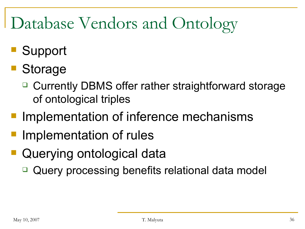## Database Vendors and Ontology

- Support
- Storage
	- □ Currently DBMS offer rather straightforward storage of ontological triples
- Implementation of inference mechanisms
- Implementation of rules
- Querying ontological data
	- Query processing benefits relational data model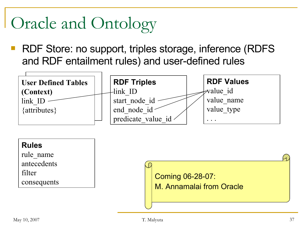## Oracle and Ontology

 RDF Store: no support, triples storage, inference (RDFS and RDF entailment rules) and user-defined rules



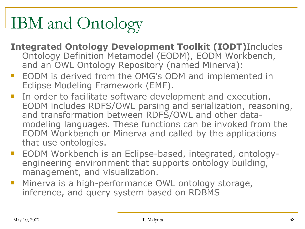## IBM and Ontology

- **Integrated Ontology Development Toolkit (IODT)**Includes Ontology Definition Metamodel (EODM), EODM Workbench, and an OWL Ontology Repository (named Minerva):
- **EODM** is derived from the OMG's ODM and implemented in Eclipse Modeling Framework (EMF).
- **IF In order to facilitate software development and execution,** EODM includes RDFS/OWL parsing and serialization, reasoning, and transformation between RDFS/OWL and other datamodeling languages. These functions can be invoked from the EODM Workbench or Minerva and called by the applications that use ontologies.
- EODM Workbench is an Eclipse-based, integrated, ontologyengineering environment that supports ontology building, management, and visualization.
- Minerva is a high-performance OWL ontology storage, inference, and query system based on RDBMS